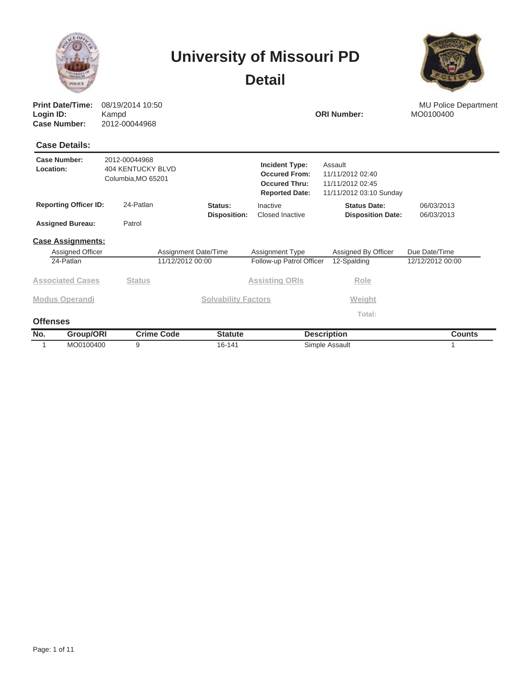|                                                             |                                                                 |                            | <b>University of Missouri PD</b><br><b>Detail</b>                                       |                                                                            |                          |  |  |
|-------------------------------------------------------------|-----------------------------------------------------------------|----------------------------|-----------------------------------------------------------------------------------------|----------------------------------------------------------------------------|--------------------------|--|--|
| <b>Print Date/Time:</b><br>Login ID:<br><b>Case Number:</b> | 08/19/2014 10:50<br>Kampd<br>2012-00044968                      |                            | <b>ORI Number:</b>                                                                      | <b>MU Police Department</b><br>MO0100400                                   |                          |  |  |
| <b>Case Details:</b>                                        |                                                                 |                            |                                                                                         |                                                                            |                          |  |  |
| Case Number:<br>Location:                                   | 2012-00044968<br><b>404 KENTUCKY BLVD</b><br>Columbia, MO 65201 |                            | <b>Incident Type:</b><br><b>Occured From:</b><br>Occured Thru:<br><b>Reported Date:</b> | Assault<br>11/11/2012 02:40<br>11/11/2012 02:45<br>11/11/2012 03:10 Sunday |                          |  |  |
| <b>Reporting Officer ID:</b>                                | 24-Patlan                                                       | Status:                    | Inactive<br>Closed Inactive                                                             | <b>Status Date:</b>                                                        | 06/03/2013<br>06/03/2013 |  |  |
| <b>Assigned Bureau:</b>                                     | Patrol                                                          | <b>Disposition:</b>        |                                                                                         | <b>Disposition Date:</b>                                                   |                          |  |  |
| <b>Case Assignments:</b>                                    |                                                                 |                            |                                                                                         |                                                                            |                          |  |  |
| Assigned Officer                                            |                                                                 | Assignment Date/Time       | Assignment Type                                                                         | Assigned By Officer                                                        | Due Date/Time            |  |  |
| 24-Patlan                                                   |                                                                 | 11/12/2012 00:00           | Follow-up Patrol Officer                                                                | 12-Spalding                                                                | 12/12/2012 00:00         |  |  |
| <b>Associated Cases</b>                                     | <b>Status</b>                                                   |                            | <b>Assisting ORIs</b>                                                                   | Role                                                                       |                          |  |  |
| <b>Modus Operandi</b>                                       |                                                                 | <b>Solvability Factors</b> |                                                                                         | Weight                                                                     |                          |  |  |
| <b>Offenses</b>                                             |                                                                 |                            |                                                                                         | Total:                                                                     |                          |  |  |

| No. | Group/OR! | Crime Code | Statute<br>- - - - - - - - | <b>Description</b> | ounts |
|-----|-----------|------------|----------------------------|--------------------|-------|
|     | MO0100400 |            | 16-141                     | Assault<br>Simnle  |       |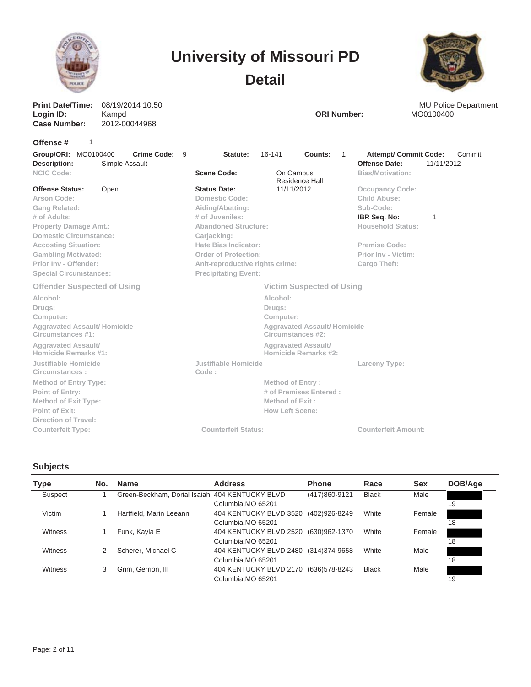



**Case Number:** 2012-00044968 **Print Date/Time: Login ID:** 08/19/2014 10:50 Kampd **ORI Number:** MO0100400

1

MU Police Department<br>MO0100400

#### **Offense #**

| Group/ORI: MO0100400<br>Crime Code: 9<br>Description:<br>Simple Assault                                                                                                                                                                                                | Statute:                                                                                                                                                                                                                                            | 16-141<br>Counts:                                                                                                                                | 1 | <b>Attempt/ Commit Code:</b><br><b>Offense Date:</b>                                                                                                    | Commit<br>11/11/2012 |
|------------------------------------------------------------------------------------------------------------------------------------------------------------------------------------------------------------------------------------------------------------------------|-----------------------------------------------------------------------------------------------------------------------------------------------------------------------------------------------------------------------------------------------------|--------------------------------------------------------------------------------------------------------------------------------------------------|---|---------------------------------------------------------------------------------------------------------------------------------------------------------|----------------------|
| <b>NCIC Code:</b>                                                                                                                                                                                                                                                      | <b>Scene Code:</b>                                                                                                                                                                                                                                  | On Campus<br>Residence Hall                                                                                                                      |   | <b>Bias/Motivation:</b>                                                                                                                                 |                      |
| <b>Offense Status:</b><br>Open<br>Arson Code:<br>Gang Related:<br># of Adults:<br><b>Property Damage Amt.:</b><br><b>Domestic Circumstance:</b><br><b>Accosting Situation:</b><br><b>Gambling Motivated:</b><br>Prior Inv - Offender:<br><b>Special Circumstances:</b> | <b>Status Date:</b><br>Domestic Code:<br>Aiding/Abetting:<br># of Juveniles:<br><b>Abandoned Structure:</b><br>Carjacking:<br>Hate Bias Indicator:<br><b>Order of Protection:</b><br>Anit-reproductive rights crime:<br><b>Precipitating Event:</b> | 11/11/2012                                                                                                                                       |   | <b>Occupancy Code:</b><br>Child Abuse:<br>Sub-Code:<br>IBR Seq. No:<br>Household Status:<br><b>Premise Code:</b><br>Prior Inv - Victim:<br>Cargo Theft: | 1                    |
| <b>Offender Suspected of Using</b>                                                                                                                                                                                                                                     |                                                                                                                                                                                                                                                     | <b>Victim Suspected of Using</b>                                                                                                                 |   |                                                                                                                                                         |                      |
| Alcohol:<br>Drugs:<br>Computer:<br><b>Aggravated Assault/Homicide</b><br>Circumstances #1:<br><b>Aggravated Assault/</b><br>Homicide Remarks #1:                                                                                                                       |                                                                                                                                                                                                                                                     | Alcohol:<br>Drugs:<br>Computer:<br><b>Aggravated Assault/Homicide</b><br>Circumstances #2:<br><b>Aggravated Assault/</b><br>Homicide Remarks #2: |   |                                                                                                                                                         |                      |
| Justifiable Homicide<br>Circumstances:<br><b>Method of Entry Type:</b><br>Point of Entry:<br><b>Method of Exit Type:</b><br>Point of Exit:<br>Direction of Travel:                                                                                                     | Justifiable Homicide<br>Code:                                                                                                                                                                                                                       | <b>Method of Entry:</b><br># of Premises Entered :<br>Method of Exit:<br><b>How Left Scene:</b>                                                  |   | Larceny Type:                                                                                                                                           |                      |
| <b>Counterfeit Type:</b>                                                                                                                                                                                                                                               | <b>Counterfeit Status:</b>                                                                                                                                                                                                                          |                                                                                                                                                  |   | <b>Counterfeit Amount:</b>                                                                                                                              |                      |

#### **Subjects**

| Type    | No. | <b>Name</b>                                    | <b>Address</b>                       | <b>Phone</b>  | Race         | <b>Sex</b> | DOB/Age |
|---------|-----|------------------------------------------------|--------------------------------------|---------------|--------------|------------|---------|
| Suspect |     | Green-Beckham, Dorial Isaiah 404 KENTUCKY BLVD |                                      | (417)860-9121 | <b>Black</b> | Male       |         |
|         |     |                                                | Columbia, MO 65201                   |               |              |            | 19      |
| Victim  |     | Hartfield, Marin Leeann                        | 404 KENTUCKY BLVD 3520               | (402)926-8249 | White        | Female     |         |
|         |     |                                                | Columbia, MO 65201                   |               |              |            | 18      |
| Witness |     | Funk, Kayla E                                  | 404 KENTUCKY BLVD 2520 (630)962-1370 |               | White        | Female     |         |
|         |     |                                                | Columbia, MO 65201                   |               |              |            | 18      |
| Witness |     | Scherer, Michael C                             | 404 KENTUCKY BLVD 2480 (314)374-9658 |               | White        | Male       |         |
|         |     |                                                | Columbia, MO 65201                   |               |              |            | 18      |
| Witness | 3   | Grim, Gerrion, III                             | 404 KENTUCKY BLVD 2170 (636)578-8243 |               | <b>Black</b> | Male       |         |
|         |     |                                                | Columbia, MO 65201                   |               |              |            | 19      |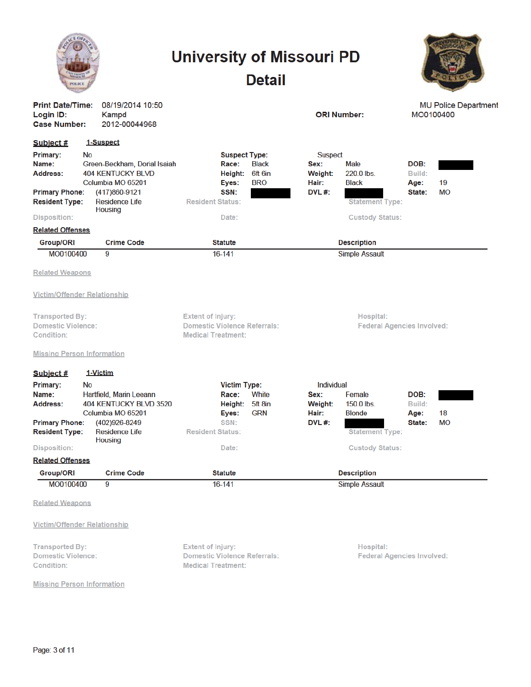|                                                                                                                                                                                                                                                                                                                       | <b>University of Missouri PD</b><br><b>Detail</b>                                                                                      |                                                                                                                                                       |                                                     |
|-----------------------------------------------------------------------------------------------------------------------------------------------------------------------------------------------------------------------------------------------------------------------------------------------------------------------|----------------------------------------------------------------------------------------------------------------------------------------|-------------------------------------------------------------------------------------------------------------------------------------------------------|-----------------------------------------------------|
| <b>Print Date/Time:</b><br>08/19/2014 10:50<br>Login ID:<br>Kampd<br><b>Case Number:</b><br>2012-00044968                                                                                                                                                                                                             |                                                                                                                                        | <b>ORI Number:</b>                                                                                                                                    | <b>MU Police Department</b><br>MO0100400            |
| 1-Suspect<br>Subject #<br>Primary:<br><b>No</b><br>Name:<br>Green-Beckham, Dorial Isaiah<br><b>404 KENTUCKY BLVD</b><br>Address:<br>Columbia MO 65201<br><b>Primary Phone:</b><br>(417)860-9121<br><b>Residence Life</b><br><b>Resident Type:</b><br><b>Housing</b><br><b>Disposition:</b><br><b>Related Offenses</b> | <b>Suspect Type:</b><br>Race:<br><b>Black</b><br>Height:<br>6ft 6in<br><b>BRO</b><br>Eyes:<br>SSN:<br><b>Resident Status:</b><br>Date: | <b>Suspect</b><br><b>Male</b><br>Sex:<br>220.0 lbs.<br>Weight:<br><b>Black</b><br>Hair:<br>DVL #:<br><b>Statement Type:</b><br><b>Custody Status:</b> | DOB:<br>Build:<br>19<br>Age:<br><b>MO</b><br>State: |
| <b>Crime Code</b><br>Group/ORI                                                                                                                                                                                                                                                                                        | <b>Statute</b>                                                                                                                         | <b>Description</b>                                                                                                                                    |                                                     |
| MO0100400<br>9                                                                                                                                                                                                                                                                                                        | 16-141                                                                                                                                 | <b>Simple Assault</b>                                                                                                                                 |                                                     |
| <b>Related Weapons</b><br><b>Victim/Offender Relationship</b><br><b>Transported By:</b><br><b>Domestic Violence:</b><br>Condition:<br><b>Missing Person Information</b>                                                                                                                                               | <b>Extent of Injury:</b><br><b>Domestic Violence Referrals:</b><br><b>Medical Treatment:</b>                                           | Hospital:                                                                                                                                             | <b>Federal Agencies Involved:</b>                   |
| 1-Victim<br>Subject #                                                                                                                                                                                                                                                                                                 |                                                                                                                                        |                                                                                                                                                       |                                                     |
| Primary:<br><b>No</b><br>Name:<br>Hartfield, Marin Leeann<br>404 KENTUCKY BLVD 3520<br>Address:<br>Columbia MO 65201<br><b>Primary Phone:</b><br>(402)926-8249<br><b>Residence Life</b><br><b>Resident Type:</b><br><b>Housing</b><br><b>Disposition:</b>                                                             | <b>Victim Type:</b><br>White<br>Race:<br>Height: 5ft 8in<br><b>GRN</b><br>Eyes:<br>SSN:<br><b>Resident Status:</b><br>Date:            | Individual<br>Sex:<br>Female<br>$150.0$ lbs.<br>Weight:<br>Hair:<br><b>Blonde</b><br>DVL#:<br><b>Statement Type:</b><br><b>Custody Status:</b>        | DOB:<br>Build:<br>18<br>Age:<br>МO<br>State:        |
| <b>Related Offenses</b>                                                                                                                                                                                                                                                                                               |                                                                                                                                        |                                                                                                                                                       |                                                     |
| <b>Group/ORI</b><br><b>Crime Code</b>                                                                                                                                                                                                                                                                                 | <b>Statute</b>                                                                                                                         | <b>Description</b>                                                                                                                                    |                                                     |
| MO0100400<br>9                                                                                                                                                                                                                                                                                                        | 16-141                                                                                                                                 | <b>Simple Assault</b>                                                                                                                                 |                                                     |
| <b>Related Weapons</b><br><b>Victim/Offender Relationship</b>                                                                                                                                                                                                                                                         |                                                                                                                                        |                                                                                                                                                       |                                                     |
| <b>Transported By:</b><br><b>Domestic Violence:</b><br>Condition:                                                                                                                                                                                                                                                     | <b>Extent of Injury:</b><br><b>Domestic Violence Referrals:</b><br><b>Medical Treatment:</b>                                           | Hospital:                                                                                                                                             | <b>Federal Agencies Involved:</b>                   |
| <b>Missing Person Information</b>                                                                                                                                                                                                                                                                                     |                                                                                                                                        |                                                                                                                                                       |                                                     |

Page: 3 of 11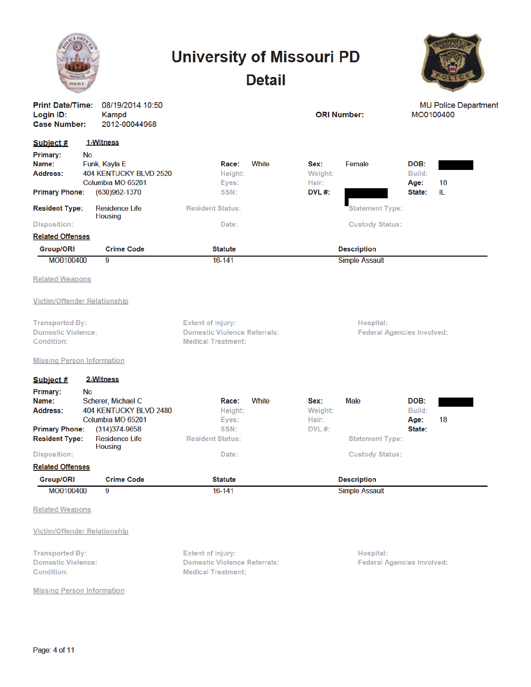|                                                                                                        |                                                                                                                                           | <b>University of Missouri PD</b>                                                             | <b>Detail</b> |                                          |                                                  |                                  |    |
|--------------------------------------------------------------------------------------------------------|-------------------------------------------------------------------------------------------------------------------------------------------|----------------------------------------------------------------------------------------------|---------------|------------------------------------------|--------------------------------------------------|----------------------------------|----|
| Login ID:<br><b>Case Number:</b>                                                                       | <b>Print Date/Time:</b><br>08/19/2014 10:50<br><b>ORI Number:</b><br>Kampd<br>2012-00044968                                               |                                                                                              |               | <b>MU Police Department</b><br>MO0100400 |                                                  |                                  |    |
| Subject #<br>Primary:<br>Name:<br><b>Address:</b>                                                      | 1-Witness<br><b>No</b><br>Funk, Kayla E<br>404 KENTUCKY BLVD 2520<br>Columbia MO 65201                                                    | Race:<br>Height:<br>Eyes:                                                                    | White         | Sex:<br>Weight:<br>Hair:                 | Female                                           | DOB:<br>Build:<br>Age:           | 18 |
| <b>Primary Phone:</b><br><b>Resident Type:</b><br><b>Disposition:</b><br><b>Related Offenses</b>       | $(630)962 - 1370$<br><b>Residence Life</b><br><b>Housing</b>                                                                              | SSN:<br><b>Resident Status:</b><br>Date:                                                     |               | DVL $#$ :                                | <b>Statement Type:</b><br><b>Custody Status:</b> | State:                           | IL |
| <b>Group/ORI</b>                                                                                       | <b>Crime Code</b>                                                                                                                         | <b>Statute</b>                                                                               |               |                                          | <b>Description</b>                               |                                  |    |
| MO0100400                                                                                              | 9                                                                                                                                         | 16-141                                                                                       |               |                                          | <b>Simple Assault</b>                            |                                  |    |
| <b>Related Weapons</b>                                                                                 |                                                                                                                                           |                                                                                              |               |                                          |                                                  |                                  |    |
|                                                                                                        | <b>Victim/Offender Relationship</b>                                                                                                       |                                                                                              |               |                                          |                                                  |                                  |    |
| <b>Transported By:</b><br><b>Domestic Violence:</b><br>Condition:<br><b>Missing Person Information</b> |                                                                                                                                           | <b>Extent of Injury:</b><br><b>Domestic Violence Referrals:</b><br><b>Medical Treatment:</b> |               |                                          | Hospital:<br><b>Federal Agencies Involved:</b>   |                                  |    |
|                                                                                                        |                                                                                                                                           |                                                                                              |               |                                          |                                                  |                                  |    |
| Subject #<br>Primary:<br>Name:<br>Address:<br><b>Primary Phone:</b><br><b>Resident Type:</b>           | 2-Witness<br><b>No</b><br>Scherer, Michael C<br>404 KENTUCKY BLVD 2480<br>Columbia MO 65201<br>$(314)374 - 9658$<br><b>Residence Life</b> | Race:<br>Height:<br>Eyes:<br>SSN:<br><b>Resident Status:</b>                                 | White         | Sex:<br>Weight:<br>Hair:<br>$DVL$ #:     | <b>Male</b><br><b>Statement Type:</b>            | DOB:<br>Build:<br>Age:<br>State: | 18 |
| <b>Disposition:</b>                                                                                    | <b>Housing</b>                                                                                                                            | Date:                                                                                        |               |                                          | <b>Custody Status:</b>                           |                                  |    |
| <b>Related Offenses</b>                                                                                |                                                                                                                                           |                                                                                              |               |                                          |                                                  |                                  |    |
| <b>Group/ORI</b>                                                                                       | <b>Crime Code</b>                                                                                                                         | <b>Statute</b>                                                                               |               |                                          | <b>Description</b>                               |                                  |    |
| MO0100400                                                                                              | 9                                                                                                                                         | $16 - 141$                                                                                   |               |                                          | <b>Simple Assault</b>                            |                                  |    |
| <b>Related Weapons</b>                                                                                 |                                                                                                                                           |                                                                                              |               |                                          |                                                  |                                  |    |
|                                                                                                        | <b>Victim/Offender Relationship</b>                                                                                                       |                                                                                              |               |                                          |                                                  |                                  |    |
| <b>Transported By:</b><br><b>Domestic Violence:</b><br>Condition:                                      |                                                                                                                                           | <b>Extent of Injury:</b><br><b>Domestic Violence Referrals:</b><br><b>Medical Treatment:</b> |               |                                          | Hospital:<br><b>Federal Agencies Involved:</b>   |                                  |    |
| <b>Missing Person Information</b>                                                                      |                                                                                                                                           |                                                                                              |               |                                          |                                                  |                                  |    |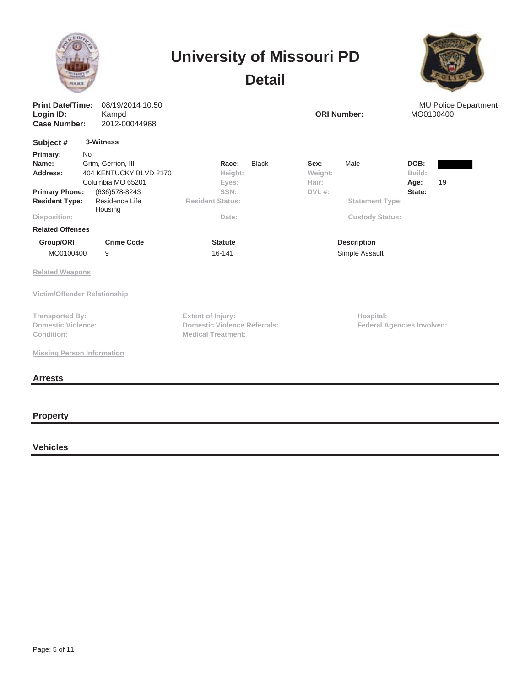|                                                                                                              |                                                                                                                                            | <b>University of Missouri PD</b><br><b>Detail</b>                                     |                                                                                                  |                                          |
|--------------------------------------------------------------------------------------------------------------|--------------------------------------------------------------------------------------------------------------------------------------------|---------------------------------------------------------------------------------------|--------------------------------------------------------------------------------------------------|------------------------------------------|
| <b>Print Date/Time:</b><br>Login ID:<br><b>Case Number:</b>                                                  | 08/19/2014 10:50<br>Kampd<br>2012-00044968                                                                                                 |                                                                                       | <b>ORI Number:</b>                                                                               | <b>MU Police Department</b><br>MO0100400 |
| Subject #<br>Primary:<br>Name:<br>Address:<br><b>Primary Phone:</b><br><b>Resident Type:</b><br>Disposition: | 3-Witness<br><b>No</b><br>Grim, Gerrion, III<br>404 KENTUCKY BLVD 2170<br>Columbia MO 65201<br>(636) 578-8243<br>Residence Life<br>Housing | Race:<br><b>Black</b><br>Height:<br>Eyes:<br>SSN:<br><b>Resident Status:</b><br>Date: | Male<br>Sex:<br>Weight:<br>Hair:<br>$DVL$ #:<br><b>Statement Type:</b><br><b>Custody Status:</b> | DOB:<br>Build:<br>19<br>Age:<br>State:   |
| <b>Related Offenses</b><br>Group/ORI                                                                         | <b>Crime Code</b>                                                                                                                          | <b>Statute</b>                                                                        | <b>Description</b>                                                                               |                                          |
| MO0100400<br><b>Related Weapons</b><br>Victim/Offender Relationship                                          | 9                                                                                                                                          | 16-141                                                                                | Simple Assault                                                                                   |                                          |
| <b>Transported By:</b><br><b>Domestic Violence:</b><br>Condition:<br><b>Missing Person Information</b>       |                                                                                                                                            | Extent of Injury:<br><b>Domestic Violence Referrals:</b><br><b>Medical Treatment:</b> | Hospital:                                                                                        | <b>Federal Agencies Involved:</b>        |
| <b>Arrests</b>                                                                                               |                                                                                                                                            |                                                                                       |                                                                                                  |                                          |

**Property**

**Vehicles**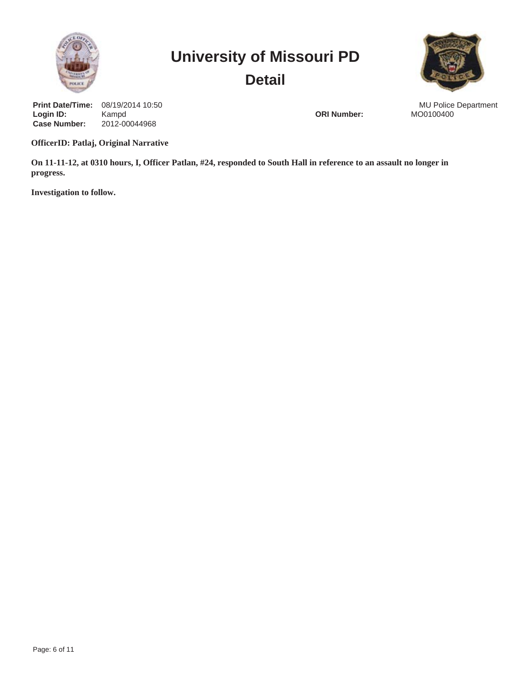



**Case Number:** 2012-00044968 **Print Date/Time: Login ID:** 08/19/2014 10:50 Kampd **ORI Number:** Manual Contract of the Contract of the Contract of the Contract of the Contract of the Contract of the Contract of the Contract of the Contract of the Contract of the Contract of the Contract of the Con

MU Police Department<br>MO0100400

**OfficerID: Patlaj, Original Narrative**

**On 11-11-12, at 0310 hours, I, Officer Patlan, #24, responded to South Hall in reference to an assault no longer in progress.**

**Investigation to follow.**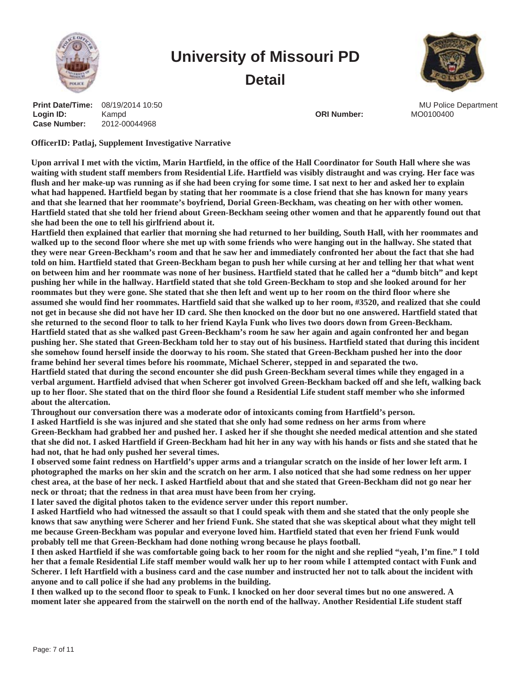



**Case Number:** 2012-00044968 **Print Date/Time: Login ID:** 08/19/2014 10:50 Kampd **Contract Contract Contract Contract Contract Contract Contract Contract Contract Contract Contract Contract Contract Contract Contract Contract Contract Contract Contract Contract Contract Contract Contract Contract** 

MU Police Department

**OfficerID: Patlaj, Supplement Investigative Narrative**

**Upon arrival I met with the victim, Marin Hartfield, in the office of the Hall Coordinator for South Hall where she was waiting with student staff members from Residential Life. Hartfield was visibly distraught and was crying. Her face was flush and her make-up was running as if she had been crying for some time. I sat next to her and asked her to explain what had happened. Hartfield began by stating that her roommate is a close friend that she has known for many years and that she learned that her roommate's boyfriend, Dorial Green-Beckham, was cheating on her with other women. Hartfield stated that she told her friend about Green-Beckham seeing other women and that he apparently found out that she had been the one to tell his girlfriend about it.**

**Hartfield then explained that earlier that morning she had returned to her building, South Hall, with her roommates and walked up to the second floor where she met up with some friends who were hanging out in the hallway. She stated that they were near Green-Beckham's room and that he saw her and immediately confronted her about the fact that she had told on him. Hartfield stated that Green-Beckham began to push her while cursing at her and telling her that what went on between him and her roommate was none of her business. Hartfield stated that he called her a "dumb bitch" and kept pushing her while in the hallway. Hartfield stated that she told Green-Beckham to stop and she looked around for her roommates but they were gone. She stated that she then left and went up to her room on the third floor where she assumed she would find her roommates. Hartfield said that she walked up to her room, #3520, and realized that she could not get in because she did not have her ID card. She then knocked on the door but no one answered. Hartfield stated that she returned to the second floor to talk to her friend Kayla Funk who lives two doors down from Green-Beckham. Hartfield stated that as she walked past Green-Beckham's room he saw her again and again confronted her and began pushing her. She stated that Green-Beckham told her to stay out of his business. Hartfield stated that during this incident she somehow found herself inside the doorway to his room. She stated that Green-Beckham pushed her into the door frame behind her several times before his roommate, Michael Scherer, stepped in and separated the two. Hartfield stated that during the second encounter she did push Green-Beckham several times while they engaged in a verbal argument. Hartfield advised that when Scherer got involved Green-Beckham backed off and she left, walking back up to her floor. She stated that on the third floor she found a Residential Life student staff member who she informed about the altercation.**

**Throughout our conversation there was a moderate odor of intoxicants coming from Hartfield's person.**

**I asked Hartfield is she was injured and she stated that she only had some redness on her arms from where Green-Beckham had grabbed her and pushed her. I asked her if she thought she needed medical attention and she stated that she did not. I asked Hartfield if Green-Beckham had hit her in any way with his hands or fists and she stated that he**

**had not, that he had only pushed her several times. I observed some faint redness on Hartfield's upper arms and a triangular scratch on the inside of her lower left arm. I photographed the marks on her skin and the scratch on her arm. I also noticed that she had some redness on her upper chest area, at the base of her neck. I asked Hartfield about that and she stated that Green-Beckham did not go near her neck or throat; that the redness in that area must have been from her crying.**

**I later saved the digital photos taken to the evidence server under this report number.**

**I asked Hartfield who had witnessed the assault so that I could speak with them and she stated that the only people she knows that saw anything were Scherer and her friend Funk. She stated that she was skeptical about what they might tell me because Green-Beckham was popular and everyone loved him. Hartfield stated that even her friend Funk would probably tell me that Green-Beckham had done nothing wrong because he plays football.**

**I then asked Hartfield if she was comfortable going back to her room for the night and she replied "yeah, I'm fine." I told her that a female Residential Life staff member would walk her up to her room while I attempted contact with Funk and Scherer. I left Hartfield with a business card and the case number and instructed her not to talk about the incident with anyone and to call police if she had any problems in the building.**

**I then walked up to the second floor to speak to Funk. I knocked on her door several times but no one answered. A moment later she appeared from the stairwell on the north end of the hallway. Another Residential Life student staff**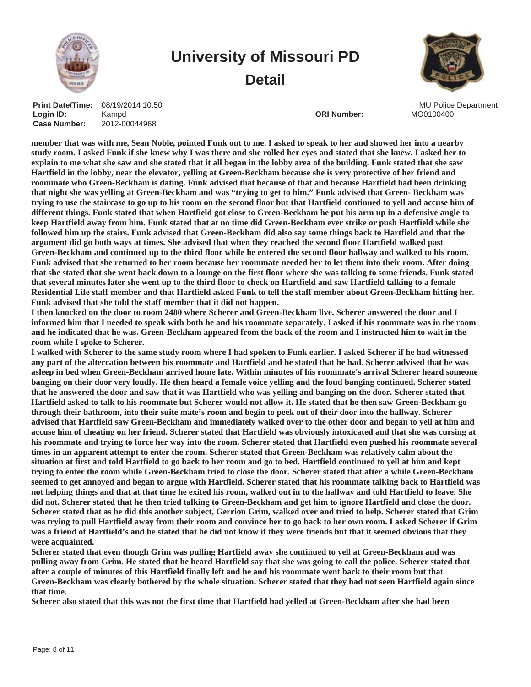



**Case Number:** 2012-00044968 **Print Date/Time: Login ID:** 08/19/2014 10:50 Kampd **Contract Contract Contract Contract Contract Contract Contract Contract Contract Contract Contract Contract Contract Contract Contract Contract Contract Contract Contract Contract Contract Contract Contract Contract** 

MU Police Department

**member that was with me, Sean Noble, pointed Funk out to me. I asked to speak to her and showed her into a nearby study room. I asked Funk if she knew why I was there and she rolled her eyes and stated that she knew. I asked her to explain to me what she saw and she stated that it all began in the lobby area of the building. Funk stated that she saw Hartfield in the lobby, near the elevator, yelling at Green-Beckham because she is very protective of her friend and roommate who Green-Beckham is dating. Funk advised that because of that and because Hartfield had been drinking that night she was yelling at Green-Beckham and was "trying to get to him." Funk advised that Green- Beckham was trying to use the staircase to go up to his room on the second floor but that Hartfield continued to yell and accuse him of different things. Funk stated that when Hartfield got close to Green-Beckham he put his arm up in a defensive angle to keep Hartfield away from him. Funk stated that at no time did Green-Beckham ever strike or push Hartfield while she followed him up the stairs. Funk advised that Green-Beckham did also say some things back to Hartfield and that the argument did go both ways at times. She advised that when they reached the second floor Hartfield walked past Green-Beckham and continued up to the third floor while he entered the second floor hallway and walked to his room. Funk advised that she returned to her room because her roommate needed her to let them into their room. After doing that she stated that she went back down to a lounge on the first floor where she was talking to some friends. Funk stated that several minutes later she went up to the third floor to check on Hartfield and saw Hartfield talking to a female Residential Life staff member and that Hartfield asked Funk to tell the staff member about Green-Beckham hitting her. Funk advised that she told the staff member that it did not happen.**

**I then knocked on the door to room 2480 where Scherer and Green-Beckham live. Scherer answered the door and I informed him that I needed to speak with both he and his roommate separately. I asked if his roommate was in the room and he indicated that he was. Green-Beckham appeared from the back of the room and I instructed him to wait in the room while I spoke to Scherer.**

**I walked with Scherer to the same study room where I had spoken to Funk earlier. I asked Scherer if he had witnessed any part of the altercation between his roommate and Hartfield and he stated that he had. Scherer advised that he was asleep in bed when Green-Beckham arrived home late. Within minutes of his roommate's arrival Scherer heard someone banging on their door very loudly. He then heard a female voice yelling and the loud banging continued. Scherer stated that he answered the door and saw that it was Hartfield who was yelling and banging on the door. Scherer stated that Hartfield asked to talk to his roommate but Scherer would not allow it. He stated that he then saw Green-Beckham go through their bathroom, into their suite mate's room and begin to peek out of their door into the hallway. Scherer advised that Hartfield saw Green-Beckham and immediately walked over to the other door and began to yell at him and accuse him of cheating on her friend. Scherer stated that Hartfield was obviously intoxicated and that she was cursing at his roommate and trying to force her way into the room. Scherer stated that Hartfield even pushed his roommate several times in an apparent attempt to enter the room. Scherer stated that Green-Beckham was relatively calm about the situation at first and told Hartfield to go back to her room and go to bed. Hartfield continued to yell at him and kept trying to enter the room while Green-Beckham tried to close the door. Scherer stated that after a while Green-Beckham seemed to get annoyed and began to argue with Hartfield. Scherer stated that his roommate talking back to Hartfield was not helping things and that at that time he exited his room, walked out in to the hallway and told Hartfield to leave. She did not. Scherer stated that he then tried talking to Green-Beckham and get him to ignore Hartfield and close the door. Scherer stated that as he did this another subject, Gerrion Grim, walked over and tried to help. Scherer stated that Grim was trying to pull Hartfield away from their room and convince her to go back to her own room. I asked Scherer if Grim was a friend of Hartfield's and he stated that he did not know if they were friends but that it seemed obvious that they were acquainted.**

**Scherer stated that even though Grim was pulling Hartfield away she continued to yell at Green-Beckham and was pulling away from Grim. He stated that he heard Hartfield say that she was going to call the police. Scherer stated that after a couple of minutes of this Hartfield finally left and he and his roommate went back to their room but that Green-Beckham was clearly bothered by the whole situation. Scherer stated that they had not seen Hartfield again since that time.**

**Scherer also stated that this was not the first time that Hartfield had yelled at Green-Beckham after she had been**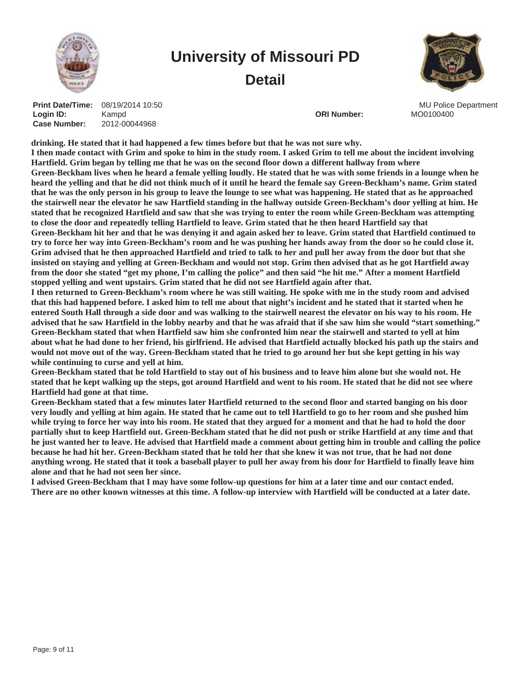



**Case Number:** 2012-00044968 **Print Date/Time: Login ID:** 08/19/2014 10:50 Kampd **Contract Contract Contract Contract Contract Contract Contract Contract Contract Contract Contract Contract Contract Contract Contract Contract Contract Contract Contract Contract Contract Contract Contract Contract** 

MU Police Department

**drinking. He stated that it had happened a few times before but that he was not sure why. I then made contact with Grim and spoke to him in the study room. I asked Grim to tell me about the incident involving Hartfield. Grim began by telling me that he was on the second floor down a different hallway from where Green-Beckham lives when he heard a female yelling loudly. He stated that he was with some friends in a lounge when he heard the yelling and that he did not think much of it until he heard the female say Green-Beckham's name. Grim stated that he was the only person in his group to leave the lounge to see what was happening. He stated that as he approached the stairwell near the elevator he saw Hartfield standing in the hallway outside Green-Beckham's door yelling at him. He stated that he recognized Hartfield and saw that she was trying to enter the room while Green-Beckham was attempting to close the door and repeatedly telling Hartfield to leave. Grim stated that he then heard Hartfield say that Green-Beckham hit her and that he was denying it and again asked her to leave. Grim stated that Hartfield continued to try to force her way into Green-Beckham's room and he was pushing her hands away from the door so he could close it. Grim advised that he then approached Hartfield and tried to talk to her and pull her away from the door but that she insisted on staying and yelling at Green-Beckham and would not stop. Grim then advised that as he got Hartfield away from the door she stated "get my phone, I'm calling the police" and then said "he hit me." After a moment Hartfield stopped yelling and went upstairs. Grim stated that he did not see Hartfield again after that.**

**I then returned to Green-Beckham's room where he was still waiting. He spoke with me in the study room and advised that this had happened before. I asked him to tell me about that night's incident and he stated that it started when he entered South Hall through a side door and was walking to the stairwell nearest the elevator on his way to his room. He advised that he saw Hartfield in the lobby nearby and that he was afraid that if she saw him she would "start something." Green-Beckham stated that when Hartfield saw him she confronted him near the stairwell and started to yell at him about what he had done to her friend, his girlfriend. He advised that Hartfield actually blocked his path up the stairs and would not move out of the way. Green-Beckham stated that he tried to go around her but she kept getting in his way while continuing to curse and yell at him.**

**Green-Beckham stated that he told Hartfield to stay out of his business and to leave him alone but she would not. He stated that he kept walking up the steps, got around Hartfield and went to his room. He stated that he did not see where Hartfield had gone at that time.**

**Green-Beckham stated that a few minutes later Hartfield returned to the second floor and started banging on his door very loudly and yelling at him again. He stated that he came out to tell Hartfield to go to her room and she pushed him while trying to force her way into his room. He stated that they argued for a moment and that he had to hold the door partially shut to keep Hartfield out. Green-Beckham stated that he did not push or strike Hartfield at any time and that he just wanted her to leave. He advised that Hartfield made a comment about getting him in trouble and calling the police because he had hit her. Green-Beckham stated that he told her that she knew it was not true, that he had not done anything wrong. He stated that it took a baseball player to pull her away from his door for Hartfield to finally leave him alone and that he had not seen her since.**

**I advised Green-Beckham that I may have some follow-up questions for him at a later time and our contact ended. There are no other known witnesses at this time. A follow-up interview with Hartfield will be conducted at a later date.**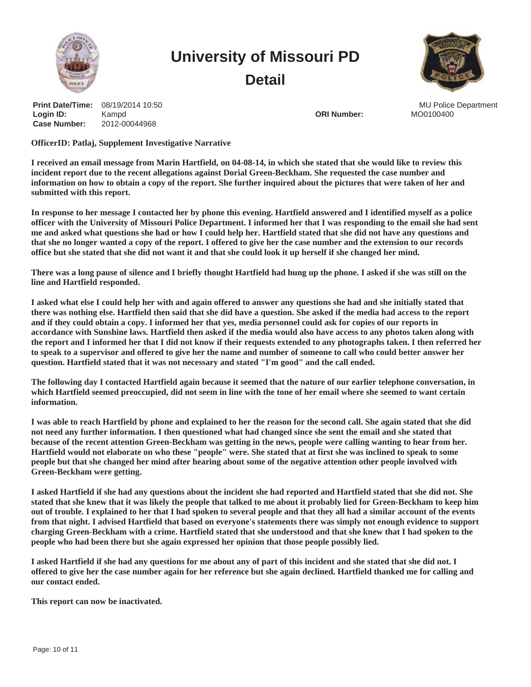



**Case Number:** 2012-00044968 **Print Date/Time: Login ID:** 08/19/2014 10:50 Kampd **Contract Contract Contract Contract Contract Contract Contract Contract Contract Contract Contract Contract Contract Contract Contract Contract Contract Contract Contract Contract Contract Contract Contract Contract** 

MU Police Department

**OfficerID: Patlaj, Supplement Investigative Narrative**

**I received an email message from Marin Hartfield, on 04-08-14, in which she stated that she would like to review this incident report due to the recent allegations against Dorial Green-Beckham. She requested the case number and information on how to obtain a copy of the report. She further inquired about the pictures that were taken of her and submitted with this report.**

**In response to her message I contacted her by phone this evening. Hartfield answered and I identified myself as a police officer with the University of Missouri Police Department. I informed her that I was responding to the email she had sent me and asked what questions she had or how I could help her. Hartfield stated that she did not have any questions and that she no longer wanted a copy of the report. I offered to give her the case number and the extension to our records office but she stated that she did not want it and that she could look it up herself if she changed her mind.**

**There was a long pause of silence and I briefly thought Hartfield had hung up the phone. I asked if she was still on the line and Hartfield responded.**

**I asked what else I could help her with and again offered to answer any questions she had and she initially stated that there was nothing else. Hartfield then said that she did have a question. She asked if the media had access to the report and if they could obtain a copy. I informed her that yes, media personnel could ask for copies of our reports in accordance with Sunshine laws. Hartfield then asked if the media would also have access to any photos taken along with the report and I informed her that I did not know if their requests extended to any photographs taken. I then referred her to speak to a supervisor and offered to give her the name and number of someone to call who could better answer her question. Hartfield stated that it was not necessary and stated "I'm good" and the call ended.**

**The following day I contacted Hartfield again because it seemed that the nature of our earlier telephone conversation, in which Hartfield seemed preoccupied, did not seem in line with the tone of her email where she seemed to want certain information.**

**I was able to reach Hartfield by phone and explained to her the reason for the second call. She again stated that she did not need any further information. I then questioned what had changed since she sent the email and she stated that because of the recent attention Green-Beckham was getting in the news, people were calling wanting to hear from her. Hartfield would not elaborate on who these "people" were. She stated that at first she was inclined to speak to some people but that she changed her mind after hearing about some of the negative attention other people involved with Green-Beckham were getting.**

**I asked Hartfield if she had any questions about the incident she had reported and Hartfield stated that she did not. She stated that she knew that it was likely the people that talked to me about it probably lied for Green-Beckham to keep him out of trouble. I explained to her that I had spoken to several people and that they all had a similar account of the events from that night. I advised Hartfield that based on everyone's statements there was simply not enough evidence to support charging Green-Beckham with a crime. Hartfield stated that she understood and that she knew that I had spoken to the people who had been there but she again expressed her opinion that those people possibly lied.**

**I asked Hartfield if she had any questions for me about any of part of this incident and she stated that she did not. I offered to give her the case number again for her reference but she again declined. Hartfield thanked me for calling and our contact ended.**

**This report can now be inactivated.**